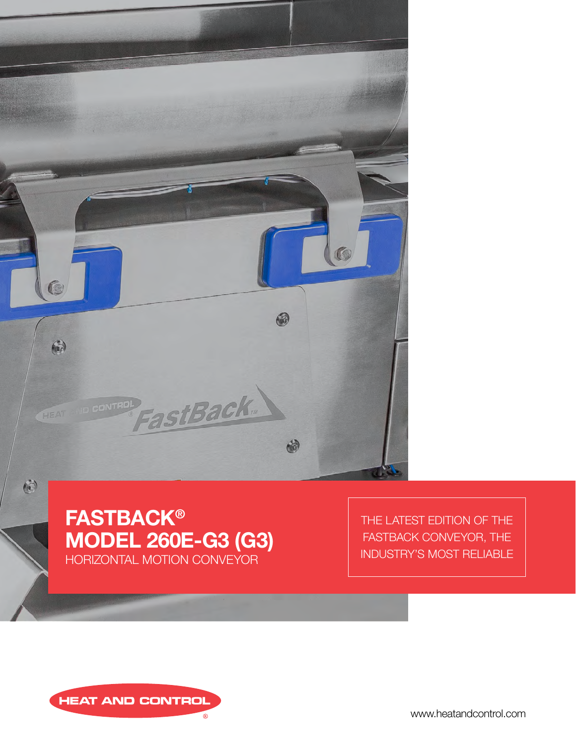



THE LATEST EDITION OF THE FASTBACK CONVEYOR, THE INDUSTRY'S MOST RELIABLE



www.heatandcontrol.com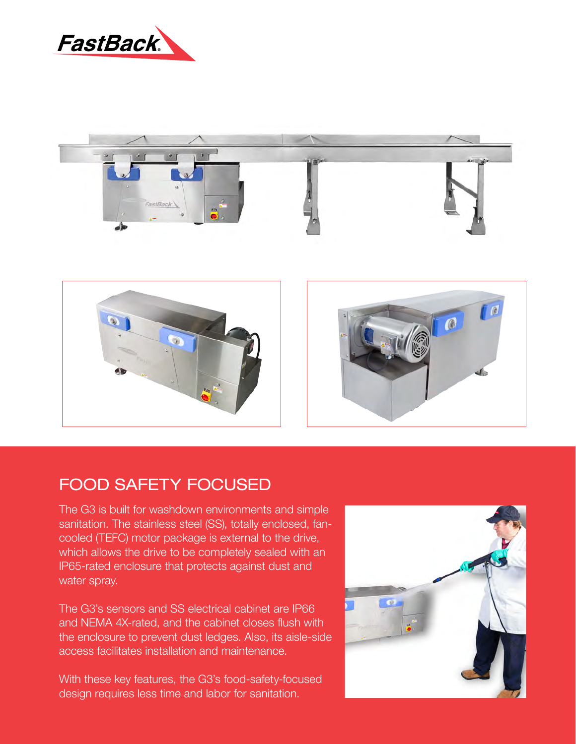







## FOOD SAFETY FOCUSED

sanitation. The stainless steel (SS), totally enclosed, fancooled (TEFC) motor package is external to the drive, which allows the drive to be completely sealed with an production, such as the associated volumes of friends of friends of friends of friends of the friends of the f IP65-rated enclosure that protects against dust and The G3 is built for washdown environments and simple water spray.

 $f(x) = \frac{1}{2} \cos(x) - \frac{1}{2} \cos(x) + \frac{1}{2} \sin(x) - \frac{1}{2} \sin(x) - \frac{1}{2} \sin(x)$ The G3's sensors and SS electrical cabinet are IP66 the engles in a computed it and a complete the and a complete testing center to support the computation of the the enclosure to prevent dust ledges. Also, its aisle-side access facilitates installation and maintenance. and NEMA 4X-rated, and the cabinet closes flush with

With these key features, the G3's food-safety-focused design requires less time and labor for sanitation.

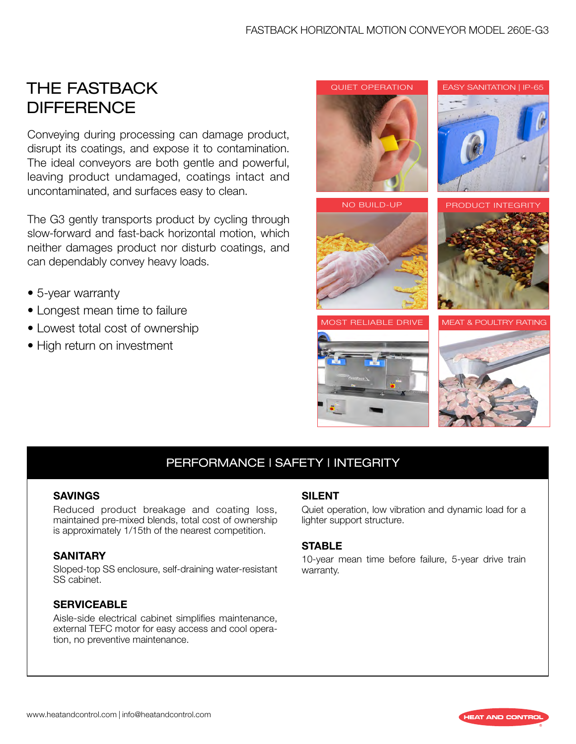# THE FASTBACK **DIFFERENCE**

Conveying during processing can damage product, disrupt its coatings, and expose it to contamination. The ideal conveyors are both gentle and powerful, leaving product undamaged, coatings intact and uncontaminated, and surfaces easy to clean.

The G3 gently transports product by cycling through slow-forward and fast-back horizontal motion, which neither damages product nor disturb coatings, and can dependably convey heavy loads.

- 5-year warranty
- Longest mean time to failure
- Lowest total cost of ownership
- High return on investment



## PERFORMANCE | SAFETY | INTEGRITY

#### **SAVINGS**

Reduced product breakage and coating loss, maintained pre-mixed blends, total cost of ownership is approximately 1/15th of the nearest competition.

#### **SANITARY**

Sloped-top SS enclosure, self-draining water-resistant SS cabinet.

#### **SERVICEABLE**

Aisle-side electrical cabinet simplifies maintenance, external TEFC motor for easy access and cool operation, no preventive maintenance.

#### SILENT

Quiet operation, low vibration and dynamic load for a lighter support structure.

#### **STABLE**

10-year mean time before failure, 5-year drive train warranty.